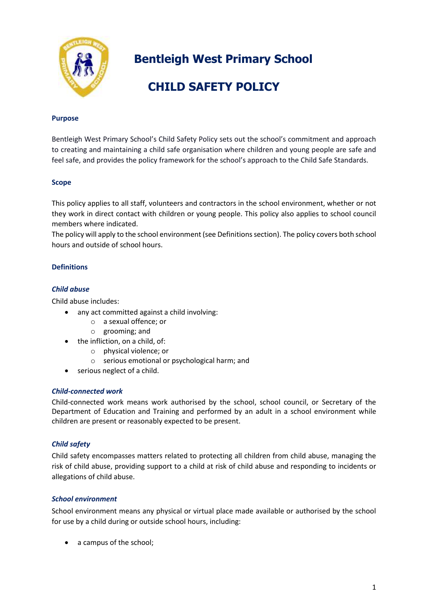

**Bentleigh West Primary School** 

# **CHILD SAFETY POLICY**

### **Purpose**

Bentleigh West Primary School's Child Safety Policy sets out the school's commitment and approach to creating and maintaining a child safe organisation where children and young people are safe and feel safe, and provides the policy framework for the school's approach to the Child Safe Standards.

#### **Scope**

This policy applies to all staff, volunteers and contractors in the school environment, whether or not they work in direct contact with children or young people. This policy also applies to school council members where indicated.

The policy will apply to the school environment (see Definitions section). The policy covers both school hours and outside of school hours.

## **Definitions**

#### *Child abuse*

Child abuse includes:

- any act committed against a child involving:
	- o a sexual offence; or
	- o grooming; and
- the infliction, on a child, of:
	- o physical violence; or
	- o serious emotional or psychological harm; and
- serious neglect of a child.

#### *Child-connected work*

Child-connected work means work authorised by the school, school council, or Secretary of the Department of Education and Training and performed by an adult in a school environment while children are present or reasonably expected to be present.

#### *Child safety*

Child safety encompasses matters related to protecting all children from child abuse, managing the risk of child abuse, providing support to a child at risk of child abuse and responding to incidents or allegations of child abuse.

## *School environment*

School environment means any physical or virtual place made available or authorised by the school for use by a child during or outside school hours, including:

• a campus of the school;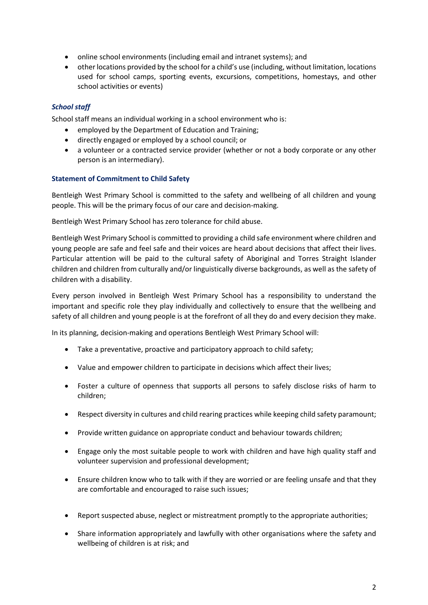- online school environments (including email and intranet systems); and
- other locations provided by the school for a child's use (including, without limitation, locations used for school camps, sporting events, excursions, competitions, homestays, and other school activities or events)

## *School staff*

School staff means an individual working in a school environment who is:

- employed by the Department of Education and Training;
- directly engaged or employed by a school council; or
- a volunteer or a contracted service provider (whether or not a body corporate or any other person is an intermediary).

## **Statement of Commitment to Child Safety**

Bentleigh West Primary School is committed to the safety and wellbeing of all children and young people. This will be the primary focus of our care and decision-making.

Bentleigh West Primary School has zero tolerance for child abuse.

Bentleigh West Primary School is committed to providing a child safe environment where children and young people are safe and feel safe and their voices are heard about decisions that affect their lives. Particular attention will be paid to the cultural safety of Aboriginal and Torres Straight Islander children and children from culturally and/or linguistically diverse backgrounds, as well as the safety of children with a disability.

Every person involved in Bentleigh West Primary School has a responsibility to understand the important and specific role they play individually and collectively to ensure that the wellbeing and safety of all children and young people is at the forefront of all they do and every decision they make.

In its planning, decision-making and operations Bentleigh West Primary School will:

- Take a preventative, proactive and participatory approach to child safety;
- Value and empower children to participate in decisions which affect their lives;
- Foster a culture of openness that supports all persons to safely disclose risks of harm to children;
- Respect diversity in cultures and child rearing practices while keeping child safety paramount;
- Provide written guidance on appropriate conduct and behaviour towards children;
- Engage only the most suitable people to work with children and have high quality staff and volunteer supervision and professional development;
- Ensure children know who to talk with if they are worried or are feeling unsafe and that they are comfortable and encouraged to raise such issues;
- Report suspected abuse, neglect or mistreatment promptly to the appropriate authorities;
- Share information appropriately and lawfully with other organisations where the safety and wellbeing of children is at risk; and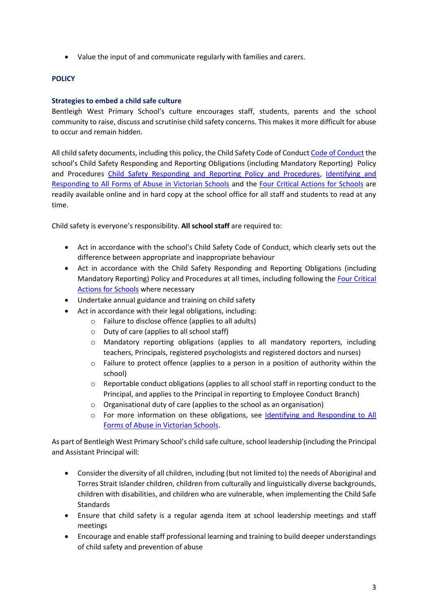Value the input of and communicate regularly with families and carers.

### **POLICY**

#### **Strategies to embed a child safe culture**

Bentleigh West Primary School's culture encourages staff, students, parents and the school community to raise, discuss and scrutinise child safety concerns. This makes it more difficult for abuse to occur and remain hidden.

All child safety documents, including this policy, the Child Safety Code of Conduc[t Code of Conduct](https://www.bentleighwestps.vic.edu.au/our-policies) the school's Child Safety Responding and Reporting Obligations (including Mandatory Reporting) Policy and Procedures [Child Safety Responding and Reporting Policy and Procedures,](https://8b0a932b-3039-496a-a64f-419cb8abb5cd.filesusr.com/ugd/f3d991_374cdeffc56943f69a07cd52eeb76180.pdf) [Identifying and](https://www.education.vic.gov.au/Documents/about/programs/health/protect/ChildSafeStandard5_SchoolsGuide.pdf)  [Responding to All Forms of Abuse in Victorian Schools](https://www.education.vic.gov.au/Documents/about/programs/health/protect/ChildSafeStandard5_SchoolsGuide.pdf) and the [Four Critical Actions for Schools](https://www.education.vic.gov.au/Documents/about/programs/health/protect/FourCriticalActions_ChildAbuse.pdf) are readily available online and in hard copy at the school office for all staff and students to read at any time.

Child safety is everyone's responsibility. **All school staff** are required to:

- Act in accordance with the school's Child Safety Code of Conduct, which clearly sets out the difference between appropriate and inappropriate behaviour
- Act in accordance with the Child Safety Responding and Reporting Obligations (including Mandatory Reporting) Policy and Procedures at all times, including following the [Four Critical](https://www.education.vic.gov.au/Documents/about/programs/health/protect/FourCriticalActions_ChildAbuse.pdf) [Actions for Schools](https://www.education.vic.gov.au/Documents/about/programs/health/protect/FourCriticalActions_ChildAbuse.pdf) where necessary
- Undertake annual guidance and training on child safety
- Act in accordance with their legal obligations, including:
	- o Failure to disclose offence (applies to all adults)
	- o Duty of care (applies to all school staff)
	- o Mandatory reporting obligations (applies to all mandatory reporters, including teachers, Principals, registered psychologists and registered doctors and nurses)
	- $\circ$  Failure to protect offence (applies to a person in a position of authority within the school)
	- o Reportable conduct obligations (applies to all school staff in reporting conduct to the Principal, and applies to the Principal in reporting to Employee Conduct Branch)
	- o Organisational duty of care (applies to the school as an organisation)
	- o For more information on these obligations, see [Identifying and Responding to All](https://www.education.vic.gov.au/Documents/about/programs/health/protect/ChildSafeStandard5_SchoolsGuide.pdf) [Forms of Abuse in Victorian Schools.](https://www.education.vic.gov.au/Documents/about/programs/health/protect/ChildSafeStandard5_SchoolsGuide.pdf)

As part of Bentleigh West Primary School's child safe culture, school leadership (including the Principal and Assistant Principal will:

- Consider the diversity of all children, including (but not limited to) the needs of Aboriginal and Torres Strait Islander children, children from culturally and linguistically diverse backgrounds, children with disabilities, and children who are vulnerable, when implementing the Child Safe Standards
- Ensure that child safety is a regular agenda item at school leadership meetings and staff meetings
- Encourage and enable staff professional learning and training to build deeper understandings of child safety and prevention of abuse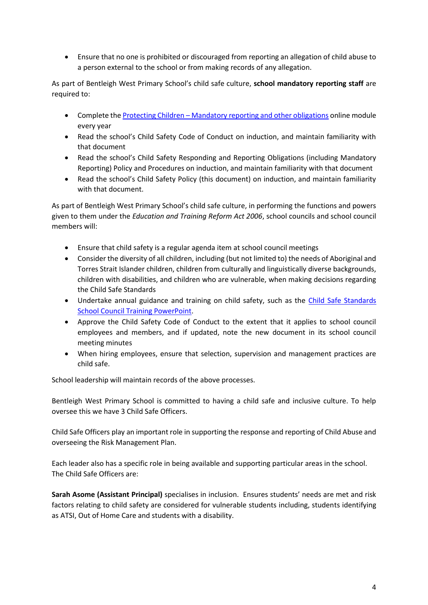Ensure that no one is prohibited or discouraged from reporting an allegation of child abuse to a person external to the school or from making records of any allegation.

As part of Bentleigh West Primary School's child safe culture, **school mandatory reporting staff** are required to:

- Complete the Protecting Children [Mandatory reporting and other obligations](http://elearn.com.au/det/protectingchildren/) online module every year
- Read the school's Child Safety Code of Conduct on induction, and maintain familiarity with that document
- Read the school's Child Safety Responding and Reporting Obligations (including Mandatory Reporting) Policy and Procedures on induction, and maintain familiarity with that document
- Read the school's Child Safety Policy (this document) on induction, and maintain familiarity with that document.

As part of Bentleigh West Primary School's child safe culture, in performing the functions and powers given to them under the *Education and Training Reform Act 2006*, school councils and school council members will:

- Ensure that child safety is a regular agenda item at school council meetings
- Consider the diversity of all children, including (but not limited to) the needs of Aboriginal and Torres Strait Islander children, children from culturally and linguistically diverse backgrounds, children with disabilities, and children who are vulnerable, when making decisions regarding the Child Safe Standards
- Undertake annual guidance and training on child safety, such as the [Child Safe Standards](https://www.education.vic.gov.au/Documents/about/programs/health/protect/school-council-training.pptx)  [School Council Training PowerPoint.](https://www.education.vic.gov.au/Documents/about/programs/health/protect/school-council-training.pptx)
- Approve the Child Safety Code of Conduct to the extent that it applies to school council employees and members, and if updated, note the new document in its school council meeting minutes
- When hiring employees, ensure that selection, supervision and management practices are child safe.

School leadership will maintain records of the above processes.

Bentleigh West Primary School is committed to having a child safe and inclusive culture. To help oversee this we have 3 Child Safe Officers.

Child Safe Officers play an important role in supporting the response and reporting of Child Abuse and overseeing the Risk Management Plan.

Each leader also has a specific role in being available and supporting particular areas in the school. The Child Safe Officers are:

**Sarah Asome (Assistant Principal)** specialises in inclusion. Ensures students' needs are met and risk factors relating to child safety are considered for vulnerable students including, students identifying as ATSI, Out of Home Care and students with a disability.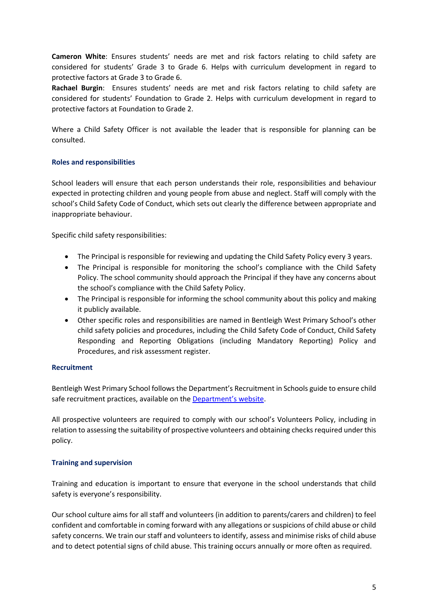**Cameron White**: Ensures students' needs are met and risk factors relating to child safety are considered for students' Grade 3 to Grade 6. Helps with curriculum development in regard to protective factors at Grade 3 to Grade 6.

**Rachael Burgin**: Ensures students' needs are met and risk factors relating to child safety are considered for students' Foundation to Grade 2. Helps with curriculum development in regard to protective factors at Foundation to Grade 2.

Where a Child Safety Officer is not available the leader that is responsible for planning can be consulted.

## **Roles and responsibilities**

School leaders will ensure that each person understands their role, responsibilities and behaviour expected in protecting children and young people from abuse and neglect. Staff will comply with the school's Child Safety Code of Conduct, which sets out clearly the difference between appropriate and inappropriate behaviour.

Specific child safety responsibilities:

- The Principal is responsible for reviewing and updating the Child Safety Policy every 3 years.
- The Principal is responsible for monitoring the school's compliance with the Child Safety Policy. The school community should approach the Principal if they have any concerns about the school's compliance with the Child Safety Policy.
- The Principal is responsible for informing the school community about this policy and making it publicly available.
- Other specific roles and responsibilities are named in Bentleigh West Primary School's other child safety policies and procedures, including the Child Safety Code of Conduct, Child Safety Responding and Reporting Obligations (including Mandatory Reporting) Policy and Procedures, and risk assessment register.

#### **Recruitment**

Bentleigh West Primary School follows the Department's Recruitment in Schools guide to ensure child safe recruitment practices, available on the [Department's website](https://www.education.vic.gov.au/hrweb/careers/Pages/recruitinsch.aspx).

All prospective volunteers are required to comply with our school's Volunteers Policy, including in relation to assessing the suitability of prospective volunteers and obtaining checks required under this policy.

#### **Training and supervision**

Training and education is important to ensure that everyone in the school understands that child safety is everyone's responsibility.

Our school culture aims for all staff and volunteers (in addition to parents/carers and children) to feel confident and comfortable in coming forward with any allegations or suspicions of child abuse or child safety concerns. We train our staff and volunteers to identify, assess and minimise risks of child abuse and to detect potential signs of child abuse. This training occurs annually or more often as required.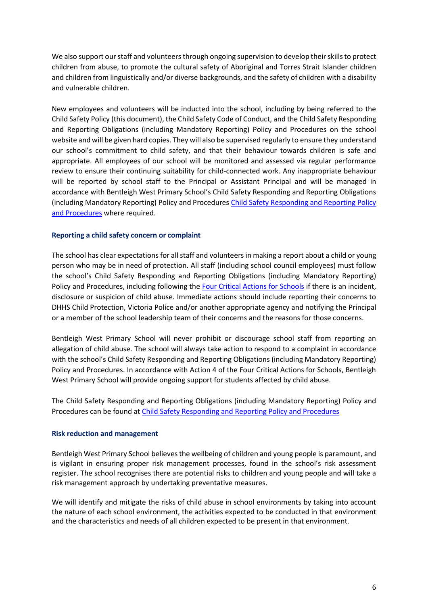We also support our staff and volunteers through ongoing supervision to develop their skills to protect children from abuse, to promote the cultural safety of Aboriginal and Torres Strait Islander children and children from linguistically and/or diverse backgrounds, and the safety of children with a disability and vulnerable children.

New employees and volunteers will be inducted into the school, including by being referred to the Child Safety Policy (this document), the Child Safety Code of Conduct, and the Child Safety Responding and Reporting Obligations (including Mandatory Reporting) Policy and Procedures on the school website and will be given hard copies. They will also be supervised regularly to ensure they understand our school's commitment to child safety, and that their behaviour towards children is safe and appropriate. All employees of our school will be monitored and assessed via regular performance review to ensure their continuing suitability for child-connected work. Any inappropriate behaviour will be reported by school staff to the Principal or Assistant Principal and will be managed in accordance with Bentleigh West Primary School's Child Safety Responding and Reporting Obligations (including Mandatory Reporting) Policy and Procedures [Child Safety Responding and Reporting Policy](https://www.bentleighwestps.vic.edu.au/our-policies)  [and Procedures](file://///4318AFS01/Users/School%20Docs/Child%20Safety/Child%20Safety%20Responding%20and%20Reporting%20Policy%20and%20Procedures.pdf) where required.

#### **Reporting a child safety concern or complaint**

The school has clear expectations for all staff and volunteers in making a report about a child or young person who may be in need of protection. All staff (including school council employees) must follow the school's Child Safety Responding and Reporting Obligations (including Mandatory Reporting) Policy and Procedures, including following the [Four Critical Actions for Schools](https://www.education.vic.gov.au/Documents/about/programs/health/protect/FourCriticalActions_ChildAbuse.pdf) if there is an incident, disclosure or suspicion of child abuse. Immediate actions should include reporting their concerns to DHHS Child Protection, Victoria Police and/or another appropriate agency and notifying the Principal or a member of the school leadership team of their concerns and the reasons for those concerns.

Bentleigh West Primary School will never prohibit or discourage school staff from reporting an allegation of child abuse. The school will always take action to respond to a complaint in accordance with the school's Child Safety Responding and Reporting Obligations (including Mandatory Reporting) Policy and Procedures. In accordance with Action 4 of the Four Critical Actions for Schools, Bentleigh West Primary School will provide ongoing support for students affected by child abuse.

The Child Safety Responding and Reporting Obligations (including Mandatory Reporting) Policy and Procedures can be found at [Child Safety Responding and Reporting Policy and Procedures](https://www.bentleighwestps.vic.edu.au/our-policies)

#### **Risk reduction and management**

Bentleigh West Primary School believes the wellbeing of children and young people is paramount, and is vigilant in ensuring proper risk management processes, found in the school's risk assessment register. The school recognises there are potential risks to children and young people and will take a risk management approach by undertaking preventative measures.

We will identify and mitigate the risks of child abuse in school environments by taking into account the nature of each school environment, the activities expected to be conducted in that environment and the characteristics and needs of all children expected to be present in that environment.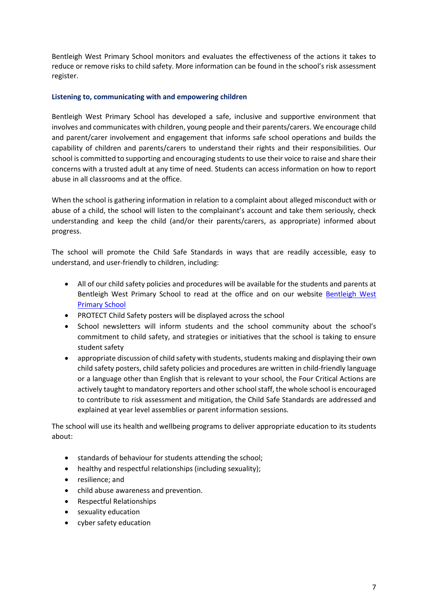Bentleigh West Primary School monitors and evaluates the effectiveness of the actions it takes to reduce or remove risks to child safety. More information can be found in the school's risk assessment register.

### **Listening to, communicating with and empowering children**

Bentleigh West Primary School has developed a safe, inclusive and supportive environment that involves and communicates with children, young people and their parents/carers. We encourage child and parent/carer involvement and engagement that informs safe school operations and builds the capability of children and parents/carers to understand their rights and their responsibilities. Our school is committed to supporting and encouraging students to use their voice to raise and share their concerns with a trusted adult at any time of need. Students can access information on how to report abuse in all classrooms and at the office.

When the school is gathering information in relation to a complaint about alleged misconduct with or abuse of a child, the school will listen to the complainant's account and take them seriously, check understanding and keep the child (and/or their parents/carers, as appropriate) informed about progress.

The school will promote the Child Safe Standards in ways that are readily accessible, easy to understand, and user-friendly to children, including:

- All of our child safety policies and procedures will be available for the students and parents at Bentleigh West Primary School to read at the office and on our website Bentleigh West [Primary School](https://www.bentleighwestps.vic.edu.au/)
- PROTECT Child Safety posters will be displayed across the school
- School newsletters will inform students and the school community about the school's commitment to child safety, and strategies or initiatives that the school is taking to ensure student safety
- appropriate discussion of child safety with students, students making and displaying their own child safety posters, child safety policies and procedures are written in child-friendly language or a language other than English that is relevant to your school, the Four Critical Actions are actively taught to mandatory reporters and other school staff, the whole school is encouraged to contribute to risk assessment and mitigation, the Child Safe Standards are addressed and explained at year level assemblies or parent information sessions.

The school will use its health and wellbeing programs to deliver appropriate education to its students about:

- **•** standards of behaviour for students attending the school;
- healthy and respectful relationships (including sexuality);
- resilience: and
- child abuse awareness and prevention.
- Respectful Relationships
- sexuality education
- cyber safety education